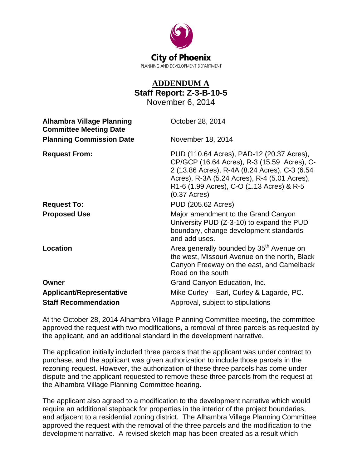

## **ADDENDUM A Staff Report: Z-3-B-10-5**

November 6, 2014

| <b>Alhambra Village Planning</b><br><b>Committee Meeting Date</b> | October 28, 2014                                                                                                                                                                                                                                                                 |
|-------------------------------------------------------------------|----------------------------------------------------------------------------------------------------------------------------------------------------------------------------------------------------------------------------------------------------------------------------------|
| <b>Planning Commission Date</b>                                   | November 18, 2014                                                                                                                                                                                                                                                                |
| <b>Request From:</b>                                              | PUD (110.64 Acres), PAD-12 (20.37 Acres),<br>CP/GCP (16.64 Acres), R-3 (15.59 Acres), C-<br>2 (13.86 Acres), R-4A (8.24 Acres), C-3 (6.54<br>Acres), R-3A (5.24 Acres), R-4 (5.01 Acres),<br>R1-6 (1.99 Acres), C-O (1.13 Acres) & R-5<br>$(0.37 \text{ A} \text{c} \text{res})$ |
| <b>Request To:</b>                                                | PUD (205.62 Acres)                                                                                                                                                                                                                                                               |
| <b>Proposed Use</b>                                               | Major amendment to the Grand Canyon<br>University PUD (Z-3-10) to expand the PUD<br>boundary, change development standards<br>and add uses.                                                                                                                                      |
| Location                                                          | Area generally bounded by 35 <sup>th</sup> Avenue on<br>the west, Missouri Avenue on the north, Black<br>Canyon Freeway on the east, and Camelback<br>Road on the south                                                                                                          |
| Owner                                                             | Grand Canyon Education, Inc.                                                                                                                                                                                                                                                     |
| <b>Applicant/Representative</b>                                   | Mike Curley – Earl, Curley & Lagarde, PC.                                                                                                                                                                                                                                        |
| <b>Staff Recommendation</b>                                       | Approval, subject to stipulations                                                                                                                                                                                                                                                |

At the October 28, 2014 Alhambra Village Planning Committee meeting, the committee approved the request with two modifications, a removal of three parcels as requested by the applicant, and an additional standard in the development narrative.

The application initially included three parcels that the applicant was under contract to purchase, and the applicant was given authorization to include those parcels in the rezoning request. However, the authorization of these three parcels has come under dispute and the applicant requested to remove these three parcels from the request at the Alhambra Village Planning Committee hearing.

The applicant also agreed to a modification to the development narrative which would require an additional stepback for properties in the interior of the project boundaries, and adjacent to a residential zoning district. The Alhambra Village Planning Committee approved the request with the removal of the three parcels and the modification to the development narrative. A revised sketch map has been created as a result which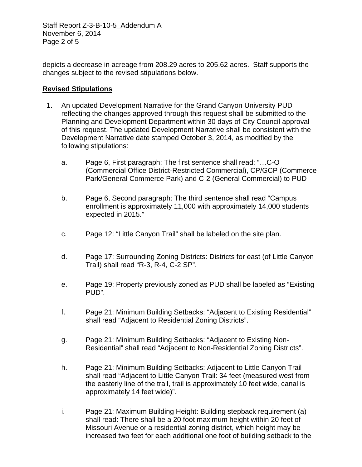Staff Report Z-3-B-10-5\_Addendum A November 6, 2014 Page 2 of 5

depicts a decrease in acreage from 208.29 acres to 205.62 acres. Staff supports the changes subject to the revised stipulations below.

## **Revised Stipulations**

- 1. An updated Development Narrative for the Grand Canyon University PUD reflecting the changes approved through this request shall be submitted to the Planning and Development Department within 30 days of City Council approval of this request. The updated Development Narrative shall be consistent with the Development Narrative date stamped October 3, 2014, as modified by the following stipulations:
	- a. Page 6, First paragraph: The first sentence shall read: "…C-O (Commercial Office District-Restricted Commercial), CP/GCP (Commerce Park/General Commerce Park) and C-2 (General Commercial) to PUD
	- b. Page 6, Second paragraph: The third sentence shall read "Campus enrollment is approximately 11,000 with approximately 14,000 students expected in 2015."
	- c. Page 12: "Little Canyon Trail" shall be labeled on the site plan.
	- d. Page 17: Surrounding Zoning Districts: Districts for east (of Little Canyon Trail) shall read "R-3, R-4, C-2 SP".
	- e. Page 19: Property previously zoned as PUD shall be labeled as "Existing PUD".
	- f. Page 21: Minimum Building Setbacks: "Adjacent to Existing Residential" shall read "Adjacent to Residential Zoning Districts".
	- g. Page 21: Minimum Building Setbacks: "Adjacent to Existing Non-Residential" shall read "Adjacent to Non-Residential Zoning Districts".
	- h. Page 21: Minimum Building Setbacks: Adjacent to Little Canyon Trail shall read "Adjacent to Little Canyon Trail: 34 feet (measured west from the easterly line of the trail, trail is approximately 10 feet wide, canal is approximately 14 feet wide)".
	- i. Page 21: Maximum Building Height: Building stepback requirement (a) shall read: There shall be a 20 foot maximum height within 20 feet of Missouri Avenue or a residential zoning district, which height may be increased two feet for each additional one foot of building setback to the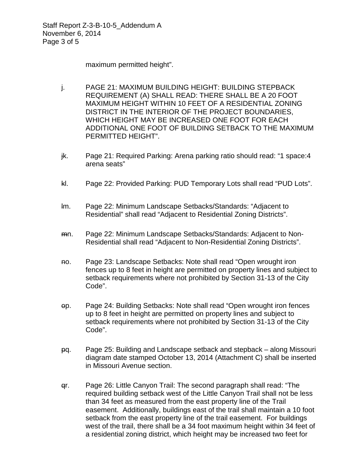Staff Report Z-3-B-10-5\_Addendum A November 6, 2014 Page 3 of 5

maximum permitted height".

- j. PAGE 21: MAXIMUM BUILDING HEIGHT: BUILDING STEPBACK REQUIREMENT (A) SHALL READ: THERE SHALL BE A 20 FOOT MAXIMUM HEIGHT WITHIN 10 FEET OF A RESIDENTIAL ZONING DISTRICT IN THE INTERIOR OF THE PROJECT BOUNDARIES, WHICH HEIGHT MAY BE INCREASED ONE FOOT FOR EACH ADDITIONAL ONE FOOT OF BUILDING SETBACK TO THE MAXIMUM PERMITTED HEIGHT".
- jk. Page 21: Required Parking: Arena parking ratio should read: "1 space:4 arena seats"
- kl. Page 22: Provided Parking: PUD Temporary Lots shall read "PUD Lots".
- lm. Page 22: Minimum Landscape Setbacks/Standards: "Adjacent to Residential" shall read "Adjacent to Residential Zoning Districts".
- mn. Page 22: Minimum Landscape Setbacks/Standards: Adjacent to Non-Residential shall read "Adjacent to Non-Residential Zoning Districts".
- no. Page 23: Landscape Setbacks: Note shall read "Open wrought iron fences up to 8 feet in height are permitted on property lines and subject to setback requirements where not prohibited by Section 31-13 of the City Code".
- op. Page 24: Building Setbacks: Note shall read "Open wrought iron fences up to 8 feet in height are permitted on property lines and subject to setback requirements where not prohibited by Section 31-13 of the City Code".
- pq. Page 25: Building and Landscape setback and stepback along Missouri diagram date stamped October 13, 2014 (Attachment C) shall be inserted in Missouri Avenue section.
- qr. Page 26: Little Canyon Trail: The second paragraph shall read: "The required building setback west of the Little Canyon Trail shall not be less than 34 feet as measured from the east property line of the Trail easement. Additionally, buildings east of the trail shall maintain a 10 foot setback from the east property line of the trail easement. For buildings west of the trail, there shall be a 34 foot maximum height within 34 feet of a residential zoning district, which height may be increased two feet for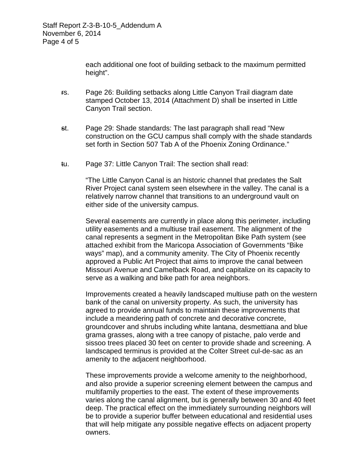each additional one foot of building setback to the maximum permitted height".

- rs. Page 26: Building setbacks along Little Canyon Trail diagram date stamped October 13, 2014 (Attachment D) shall be inserted in Little Canyon Trail section.
- st. Page 29: Shade standards: The last paragraph shall read "New construction on the GCU campus shall comply with the shade standards set forth in Section 507 Tab A of the Phoenix Zoning Ordinance."
- tu. Page 37: Little Canyon Trail: The section shall read:

"The Little Canyon Canal is an historic channel that predates the Salt River Project canal system seen elsewhere in the valley. The canal is a relatively narrow channel that transitions to an underground vault on either side of the university campus.

Several easements are currently in place along this perimeter, including utility easements and a multiuse trail easement. The alignment of the canal represents a segment in the Metropolitan Bike Path system (see attached exhibit from the Maricopa Association of Governments "Bike ways" map), and a community amenity. The City of Phoenix recently approved a Public Art Project that aims to improve the canal between Missouri Avenue and Camelback Road, and capitalize on its capacity to serve as a walking and bike path for area neighbors.

Improvements created a heavily landscaped multiuse path on the western bank of the canal on university property. As such, the university has agreed to provide annual funds to maintain these improvements that include a meandering path of concrete and decorative concrete, groundcover and shrubs including white lantana, desmettiana and blue grama grasses, along with a tree canopy of pistache, palo verde and sissoo trees placed 30 feet on center to provide shade and screening. A landscaped terminus is provided at the Colter Street cul-de-sac as an amenity to the adjacent neighborhood.

These improvements provide a welcome amenity to the neighborhood, and also provide a superior screening element between the campus and multifamily properties to the east. The extent of these improvements varies along the canal alignment, but is generally between 30 and 40 feet deep. The practical effect on the immediately surrounding neighbors will be to provide a superior buffer between educational and residential uses that will help mitigate any possible negative effects on adjacent property owners.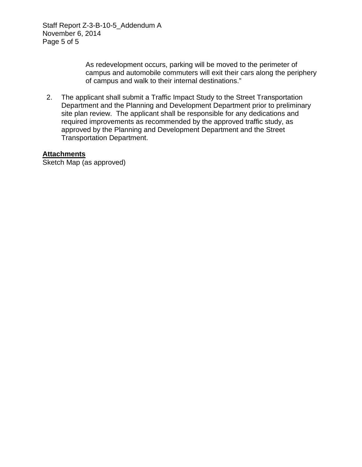Staff Report Z-3-B-10-5\_Addendum A November 6, 2014 Page 5 of 5

> As redevelopment occurs, parking will be moved to the perimeter of campus and automobile commuters will exit their cars along the periphery of campus and walk to their internal destinations."

 2. The applicant shall submit a Traffic Impact Study to the Street Transportation Department and the Planning and Development Department prior to preliminary site plan review. The applicant shall be responsible for any dedications and required improvements as recommended by the approved traffic study, as approved by the Planning and Development Department and the Street Transportation Department.

## **Attachments**

Sketch Map (as approved)